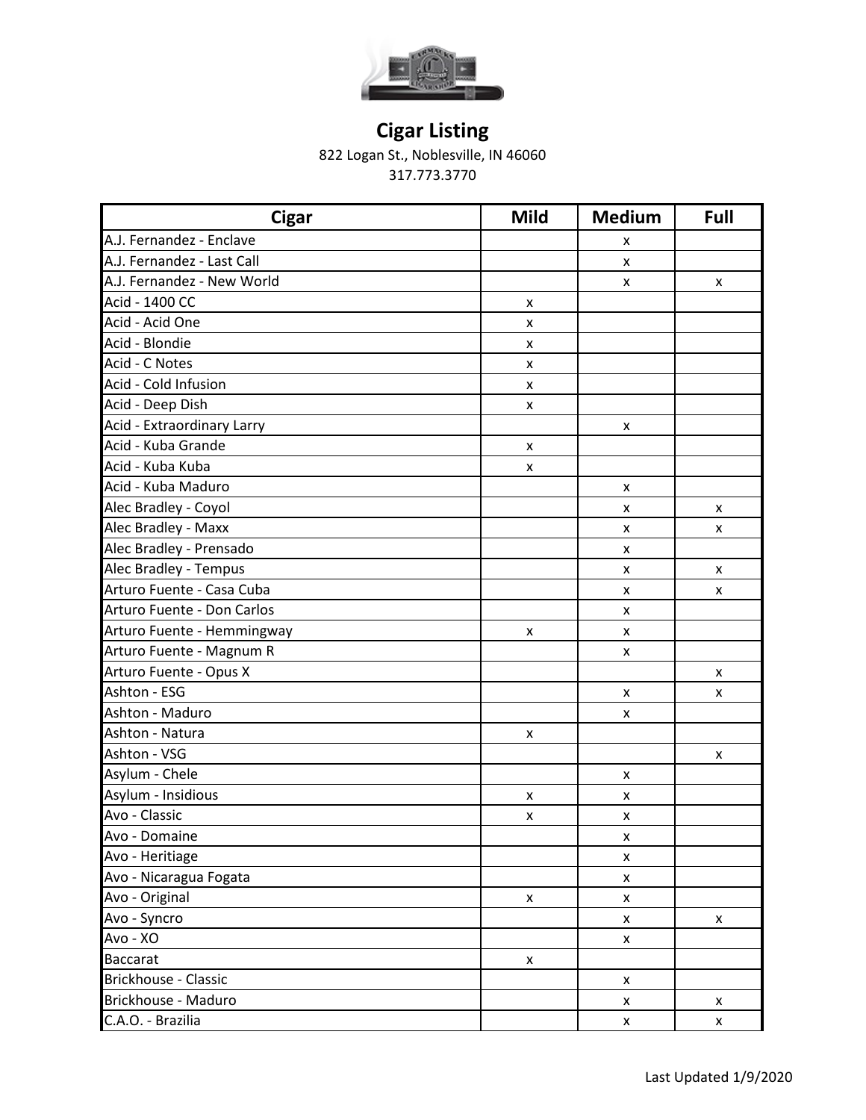

822 Logan St., Noblesville, IN 46060

| <b>Cigar</b>               | <b>Mild</b>        | <b>Medium</b>      | Full |
|----------------------------|--------------------|--------------------|------|
| A.J. Fernandez - Enclave   |                    | x                  |      |
| A.J. Fernandez - Last Call |                    | X                  |      |
| A.J. Fernandez - New World |                    | $\pmb{\times}$     | X    |
| Acid - 1400 CC             | X                  |                    |      |
| Acid - Acid One            | X                  |                    |      |
| Acid - Blondie             | X                  |                    |      |
| Acid - C Notes             | x                  |                    |      |
| Acid - Cold Infusion       | X                  |                    |      |
| Acid - Deep Dish           | X                  |                    |      |
| Acid - Extraordinary Larry |                    | X                  |      |
| Acid - Kuba Grande         | $\pmb{\mathsf{x}}$ |                    |      |
| Acid - Kuba Kuba           | $\pmb{\times}$     |                    |      |
| Acid - Kuba Maduro         |                    | X                  |      |
| Alec Bradley - Coyol       |                    | X                  | x    |
| Alec Bradley - Maxx        |                    | $\pmb{\mathsf{x}}$ | x    |
| Alec Bradley - Prensado    |                    | x                  |      |
| Alec Bradley - Tempus      |                    | $\pmb{\mathsf{x}}$ | x    |
| Arturo Fuente - Casa Cuba  |                    | $\pmb{\times}$     | x    |
| Arturo Fuente - Don Carlos |                    | $\pmb{\times}$     |      |
| Arturo Fuente - Hemmingway | x                  | X                  |      |
| Arturo Fuente - Magnum R   |                    | X                  |      |
| Arturo Fuente - Opus X     |                    |                    | X    |
| Ashton - ESG               |                    | $\pmb{\times}$     | X    |
| Ashton - Maduro            |                    | $\pmb{\mathsf{x}}$ |      |
| Ashton - Natura            | X                  |                    |      |
| Ashton - VSG               |                    |                    | X    |
| Asylum - Chele             |                    | X                  |      |
| Asylum - Insidious         | X                  | x                  |      |
| Avo - Classic              | X                  | X                  |      |
| Avo - Domaine              |                    | X                  |      |
| Avo - Heritiage            |                    | X                  |      |
| Avo - Nicaragua Fogata     |                    | X                  |      |
| Avo - Original             | $\pmb{\mathsf{x}}$ | X                  |      |
| Avo - Syncro               |                    | $\pmb{\mathsf{x}}$ | X    |
| Avo - XO                   |                    | X                  |      |
| <b>Baccarat</b>            | X                  |                    |      |
| Brickhouse - Classic       |                    | $\pmb{\mathsf{x}}$ |      |
| Brickhouse - Maduro        |                    | X                  | X    |
| C.A.O. - Brazilia          |                    | $\pmb{\mathsf{x}}$ | X    |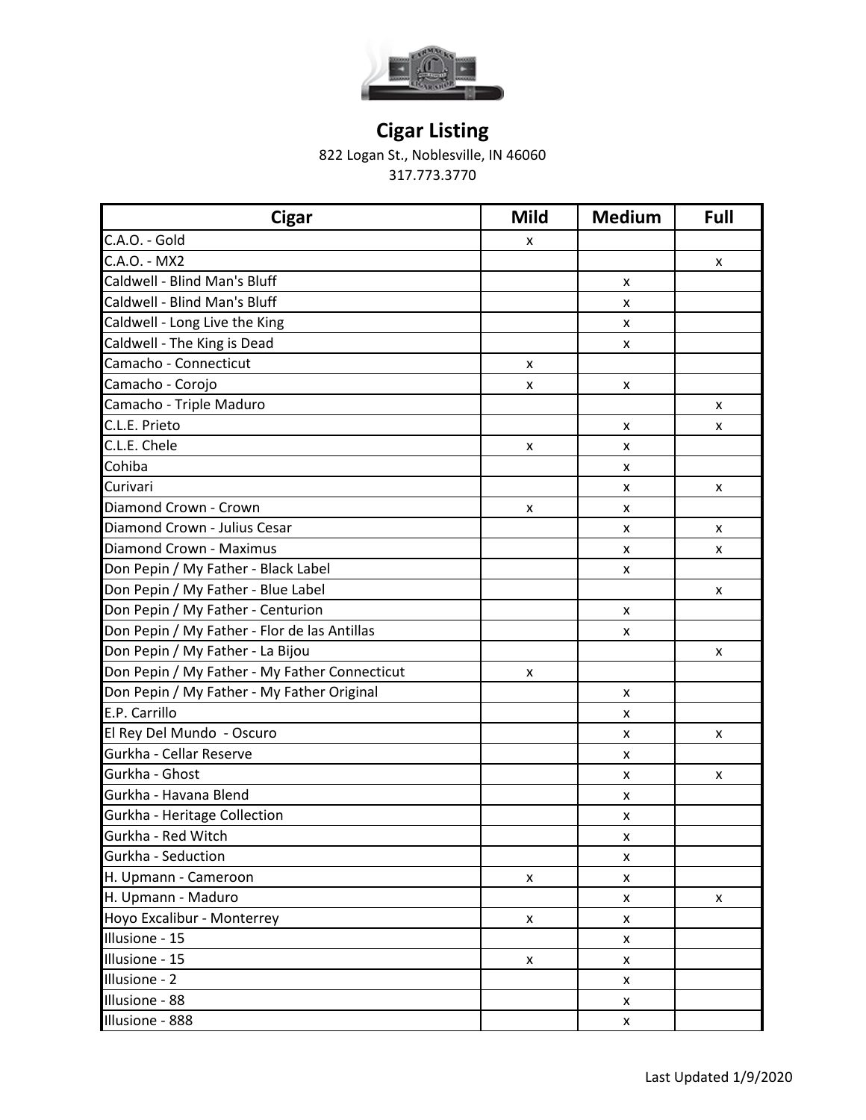

822 Logan St., Noblesville, IN 46060

| <b>Cigar</b>                                  | <b>Mild</b>        | <b>Medium</b>      | Full |
|-----------------------------------------------|--------------------|--------------------|------|
| C.A.O. - Gold                                 | x                  |                    |      |
| C.A.O. - MX2                                  |                    |                    | X    |
| Caldwell - Blind Man's Bluff                  |                    | x                  |      |
| Caldwell - Blind Man's Bluff                  |                    | x                  |      |
| Caldwell - Long Live the King                 |                    | X                  |      |
| Caldwell - The King is Dead                   |                    | x                  |      |
| Camacho - Connecticut                         | x                  |                    |      |
| Camacho - Corojo                              | X                  | X                  |      |
| Camacho - Triple Maduro                       |                    |                    | X    |
| C.L.E. Prieto                                 |                    | x                  | X    |
| C.L.E. Chele                                  | x                  | X                  |      |
| Cohiba                                        |                    | X                  |      |
| Curivari                                      |                    | x                  | X    |
| Diamond Crown - Crown                         | x                  | x                  |      |
| Diamond Crown - Julius Cesar                  |                    | x                  | X    |
| Diamond Crown - Maximus                       |                    | x                  | X    |
| Don Pepin / My Father - Black Label           |                    | x                  |      |
| Don Pepin / My Father - Blue Label            |                    |                    | X    |
| Don Pepin / My Father - Centurion             |                    | x                  |      |
| Don Pepin / My Father - Flor de las Antillas  |                    | x                  |      |
| Don Pepin / My Father - La Bijou              |                    |                    | X    |
| Don Pepin / My Father - My Father Connecticut | X                  |                    |      |
| Don Pepin / My Father - My Father Original    |                    | x                  |      |
| E.P. Carrillo                                 |                    | X                  |      |
| El Rey Del Mundo - Oscuro                     |                    | X                  | X    |
| Gurkha - Cellar Reserve                       |                    | X                  |      |
| Gurkha - Ghost                                |                    | x                  | x    |
| Gurkha - Havana Blend                         |                    | x                  |      |
| Gurkha - Heritage Collection                  |                    | X                  |      |
| Gurkha - Red Witch                            |                    | X                  |      |
| Gurkha - Seduction                            |                    | X                  |      |
| H. Upmann - Cameroon                          | $\pmb{\mathsf{x}}$ | X                  |      |
| H. Upmann - Maduro                            |                    | X                  | X    |
| Hoyo Excalibur - Monterrey                    | $\pmb{\mathsf{x}}$ | X                  |      |
| Illusione - 15                                |                    | X                  |      |
| Illusione - 15                                | X                  | X                  |      |
| Illusione - 2                                 |                    | X                  |      |
| Illusione - 88                                |                    | $\pmb{\mathsf{X}}$ |      |
| Illusione - 888                               |                    | X                  |      |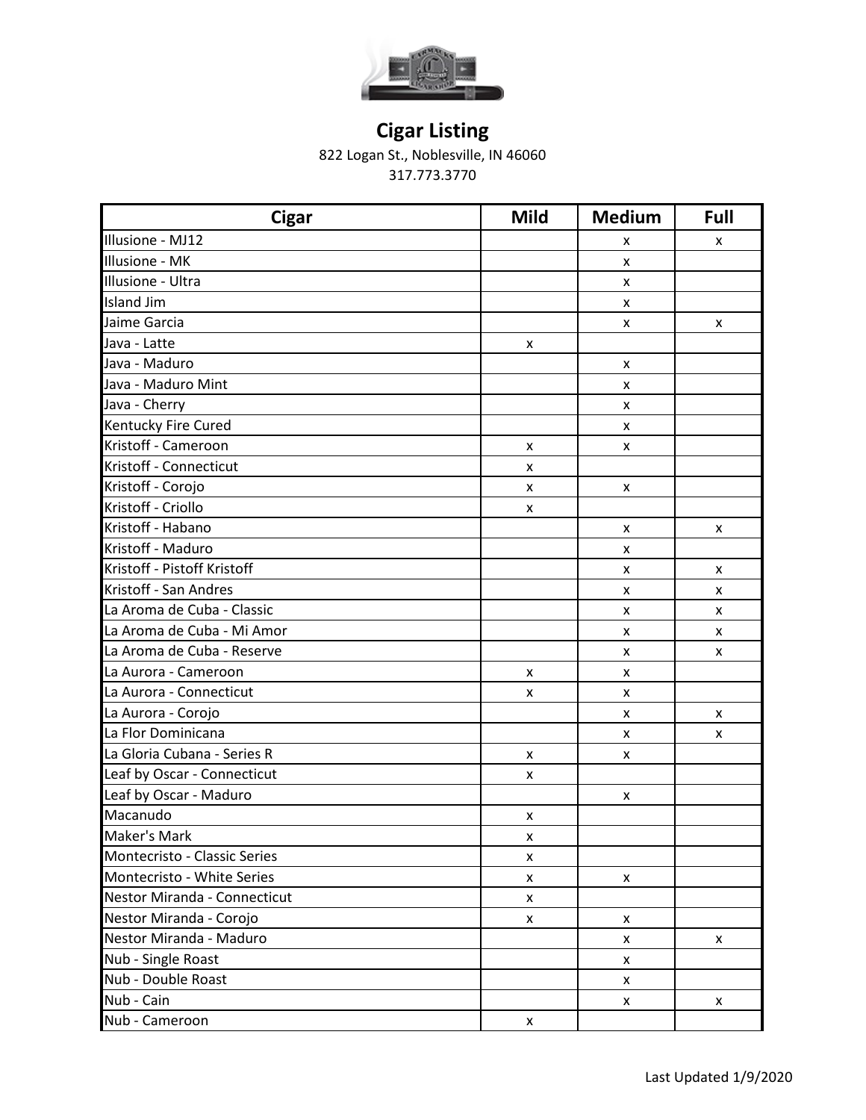

822 Logan St., Noblesville, IN 46060

| <b>Cigar</b>                 | <b>Mild</b> | <b>Medium</b>      | Full |
|------------------------------|-------------|--------------------|------|
| Illusione - MJ12             |             | x                  | X    |
| Illusione - MK               |             | x                  |      |
| Illusione - Ultra            |             | X                  |      |
| Island Jim                   |             | X                  |      |
| Jaime Garcia                 |             | $\pmb{\times}$     | X    |
| Java - Latte                 | X           |                    |      |
| Java - Maduro                |             | X                  |      |
| Java - Maduro Mint           |             | x                  |      |
| Java - Cherry                |             | x                  |      |
| Kentucky Fire Cured          |             | X                  |      |
| Kristoff - Cameroon          | X           | X                  |      |
| Kristoff - Connecticut       | X           |                    |      |
| Kristoff - Corojo            | X           | X                  |      |
| Kristoff - Criollo           | x           |                    |      |
| Kristoff - Habano            |             | X                  | X    |
| Kristoff - Maduro            |             | x                  |      |
| Kristoff - Pistoff Kristoff  |             | X                  | X    |
| Kristoff - San Andres        |             | x                  | X    |
| La Aroma de Cuba - Classic   |             | $\pmb{\times}$     | X    |
| La Aroma de Cuba - Mi Amor   |             | X                  | X    |
| La Aroma de Cuba - Reserve   |             | X                  | X    |
| La Aurora - Cameroon         | X           | X                  |      |
| La Aurora - Connecticut      | X           | X                  |      |
| La Aurora - Corojo           |             | $\pmb{\times}$     | X    |
| La Flor Dominicana           |             | X                  | X    |
| La Gloria Cubana - Series R  | X           | X                  |      |
| Leaf by Oscar - Connecticut  | x           |                    |      |
| Leaf by Oscar - Maduro       |             | X                  |      |
| Macanudo                     | X           |                    |      |
| Maker's Mark                 | X           |                    |      |
| Montecristo - Classic Series | X           |                    |      |
| Montecristo - White Series   | X           | X                  |      |
| Nestor Miranda - Connecticut | X           |                    |      |
| Nestor Miranda - Corojo      | X           | X                  |      |
| Nestor Miranda - Maduro      |             | X                  | X    |
| Nub - Single Roast           |             | $\pmb{\mathsf{X}}$ |      |
| Nub - Double Roast           |             | X                  |      |
| Nub - Cain                   |             | X                  | X    |
| Nub - Cameroon               | X           |                    |      |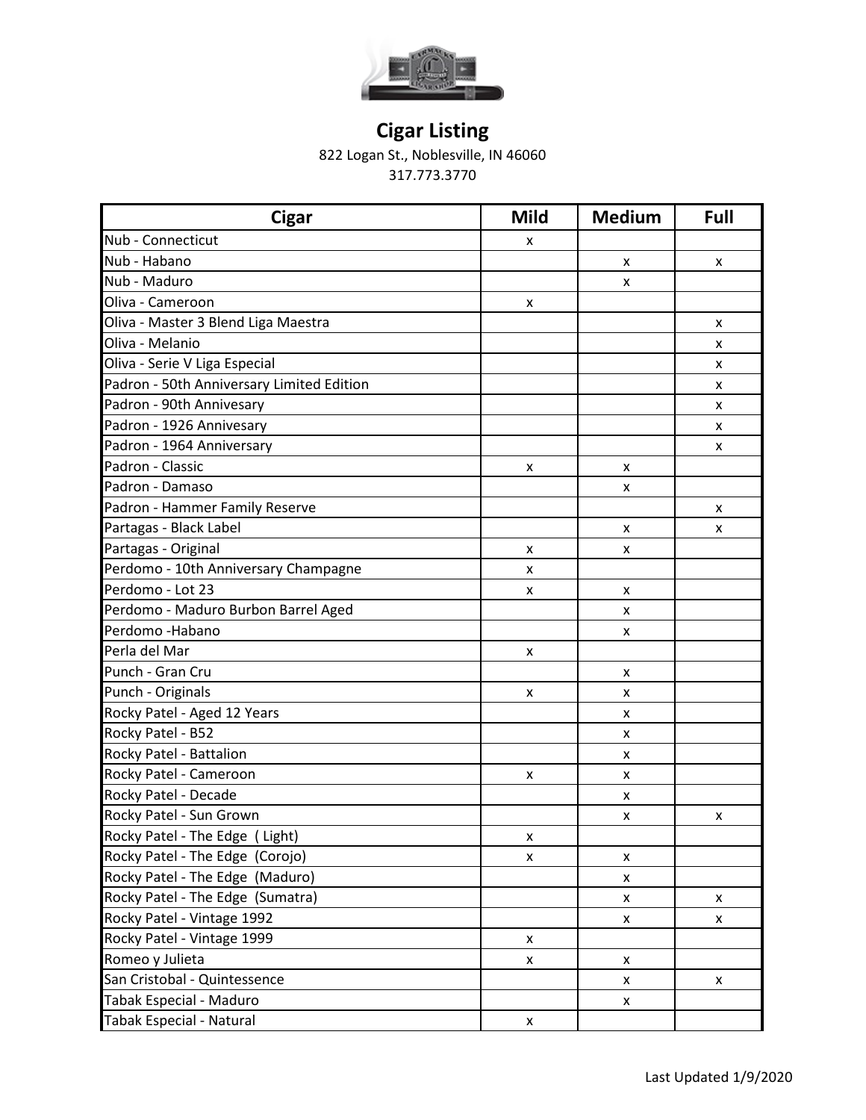

822 Logan St., Noblesville, IN 46060

| <b>Cigar</b>                              | <b>Mild</b> | <b>Medium</b>  | Full |
|-------------------------------------------|-------------|----------------|------|
| Nub - Connecticut                         | x           |                |      |
| Nub - Habano                              |             | X              | X    |
| Nub - Maduro                              |             | X              |      |
| Oliva - Cameroon                          | x           |                |      |
| Oliva - Master 3 Blend Liga Maestra       |             |                | x    |
| Oliva - Melanio                           |             |                | x    |
| Oliva - Serie V Liga Especial             |             |                | x    |
| Padron - 50th Anniversary Limited Edition |             |                | x    |
| Padron - 90th Annivesary                  |             |                | x    |
| Padron - 1926 Annivesary                  |             |                | X    |
| Padron - 1964 Anniversary                 |             |                | x    |
| Padron - Classic                          | x           | X              |      |
| Padron - Damaso                           |             | X              |      |
| Padron - Hammer Family Reserve            |             |                | x    |
| Partagas - Black Label                    |             | X              | x    |
| Partagas - Original                       | x           | X              |      |
| Perdomo - 10th Anniversary Champagne      | x           |                |      |
| Perdomo - Lot 23                          | x           | X              |      |
| Perdomo - Maduro Burbon Barrel Aged       |             | X              |      |
| Perdomo - Habano                          |             | X              |      |
| Perla del Mar                             | X           |                |      |
| Punch - Gran Cru                          |             | X              |      |
| Punch - Originals                         | x           | X              |      |
| Rocky Patel - Aged 12 Years               |             | X              |      |
| Rocky Patel - B52                         |             | X              |      |
| Rocky Patel - Battalion                   |             | X              |      |
| Rocky Patel - Cameroon                    | x           | x              |      |
| Rocky Patel - Decade                      |             | X              |      |
| Rocky Patel - Sun Grown                   |             | X              | x    |
| Rocky Patel - The Edge ( Light)           | X           |                |      |
| Rocky Patel - The Edge (Corojo)           | x           | X              |      |
| Rocky Patel - The Edge (Maduro)           |             | X              |      |
| Rocky Patel - The Edge (Sumatra)          |             | X              | X    |
| Rocky Patel - Vintage 1992                |             | X              | x    |
| Rocky Patel - Vintage 1999                | X           |                |      |
| Romeo y Julieta                           | x           | X              |      |
| San Cristobal - Quintessence              |             | x              | X    |
| Tabak Especial - Maduro                   |             | $\pmb{\times}$ |      |
| Tabak Especial - Natural                  | X           |                |      |